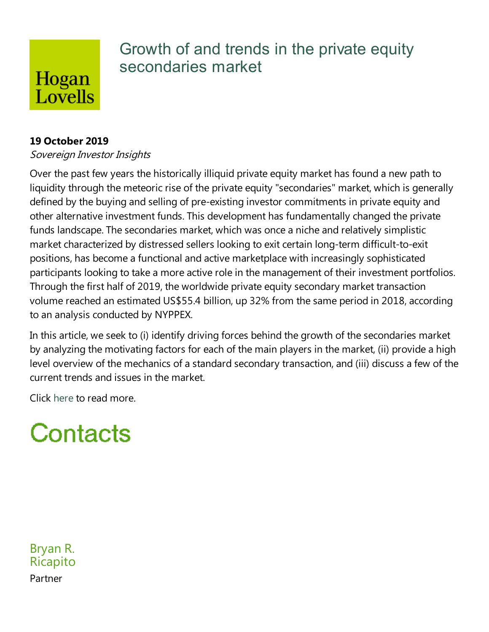## Hogan Lovells

## Growth of and trends in the private equity secondaries market

#### **19 October 2019**

#### Sovereign Investor Insights

Over the past few years the historically illiquid private equity market has found a new path to liquidity through the meteoric rise of the private equity "secondaries" market, which is generally defined by the buying and selling of pre-existing investor commitments in private equity and other alternative investment funds. This development has fundamentally changed the private funds landscape. The secondaries market, which was once a niche and relatively simplistic market characterized by distressed sellers looking to exit certain long-term difficult-to-exit positions, has become a functional and active marketplace with increasingly sophisticated participants looking to take a more active role in the management of their investment portfolios. Through the first half of 2019, the worldwide private equity secondary market transaction volume reached an estimated US\$55.4 billion, up 32% from the same period in 2018, according to an analysis conducted by NYPPEX.

In this article, we seek to (i) identify driving forces behind the growth of the secondaries market by analyzing the motivating factors for each of the main players in the market, (ii) provide a high level overview of the mechanics of a standard secondary transaction, and (iii) discuss a few of the current trends and issues in the market.

Click here to read more.

# Contacts

Bryan R. Ricapito Partner